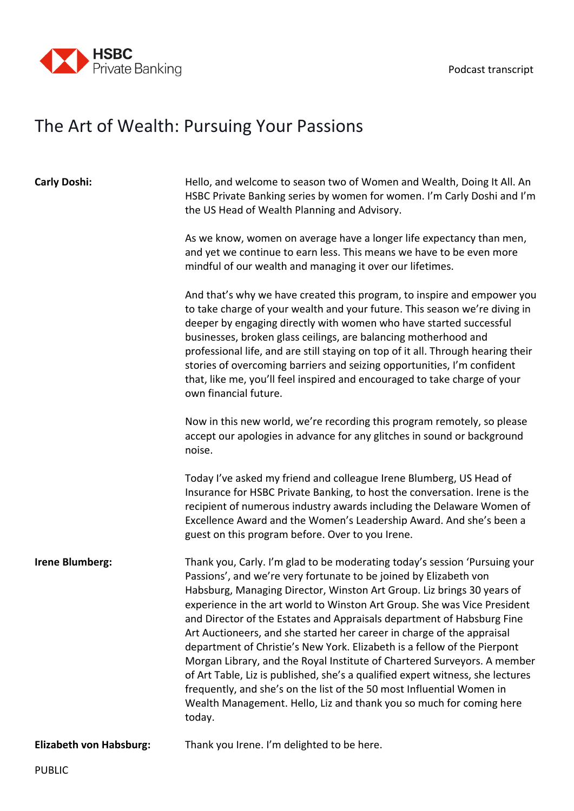

## The Art of Wealth: Pursuing Your Passions

| <b>Carly Doshi:</b>            | Hello, and welcome to season two of Women and Wealth, Doing It All. An<br>HSBC Private Banking series by women for women. I'm Carly Doshi and I'm<br>the US Head of Wealth Planning and Advisory.                                                                                                                                                                                                                                                                                                                                                                                                                                                                                                                                                                                                                                                             |
|--------------------------------|---------------------------------------------------------------------------------------------------------------------------------------------------------------------------------------------------------------------------------------------------------------------------------------------------------------------------------------------------------------------------------------------------------------------------------------------------------------------------------------------------------------------------------------------------------------------------------------------------------------------------------------------------------------------------------------------------------------------------------------------------------------------------------------------------------------------------------------------------------------|
|                                | As we know, women on average have a longer life expectancy than men,<br>and yet we continue to earn less. This means we have to be even more<br>mindful of our wealth and managing it over our lifetimes.                                                                                                                                                                                                                                                                                                                                                                                                                                                                                                                                                                                                                                                     |
|                                | And that's why we have created this program, to inspire and empower you<br>to take charge of your wealth and your future. This season we're diving in<br>deeper by engaging directly with women who have started successful<br>businesses, broken glass ceilings, are balancing motherhood and<br>professional life, and are still staying on top of it all. Through hearing their<br>stories of overcoming barriers and seizing opportunities, I'm confident<br>that, like me, you'll feel inspired and encouraged to take charge of your<br>own financial future.                                                                                                                                                                                                                                                                                           |
|                                | Now in this new world, we're recording this program remotely, so please<br>accept our apologies in advance for any glitches in sound or background<br>noise.                                                                                                                                                                                                                                                                                                                                                                                                                                                                                                                                                                                                                                                                                                  |
|                                | Today I've asked my friend and colleague Irene Blumberg, US Head of<br>Insurance for HSBC Private Banking, to host the conversation. Irene is the<br>recipient of numerous industry awards including the Delaware Women of<br>Excellence Award and the Women's Leadership Award. And she's been a<br>guest on this program before. Over to you Irene.                                                                                                                                                                                                                                                                                                                                                                                                                                                                                                         |
| Irene Blumberg:                | Thank you, Carly. I'm glad to be moderating today's session 'Pursuing your<br>Passions', and we're very fortunate to be joined by Elizabeth von<br>Habsburg, Managing Director, Winston Art Group. Liz brings 30 years of<br>experience in the art world to Winston Art Group. She was Vice President<br>and Director of the Estates and Appraisals department of Habsburg Fine<br>Art Auctioneers, and she started her career in charge of the appraisal<br>department of Christie's New York. Elizabeth is a fellow of the Pierpont<br>Morgan Library, and the Royal Institute of Chartered Surveyors. A member<br>of Art Table, Liz is published, she's a qualified expert witness, she lectures<br>frequently, and she's on the list of the 50 most Influential Women in<br>Wealth Management. Hello, Liz and thank you so much for coming here<br>today. |
| <b>Elizabeth von Habsburg:</b> | Thank you Irene. I'm delighted to be here.                                                                                                                                                                                                                                                                                                                                                                                                                                                                                                                                                                                                                                                                                                                                                                                                                    |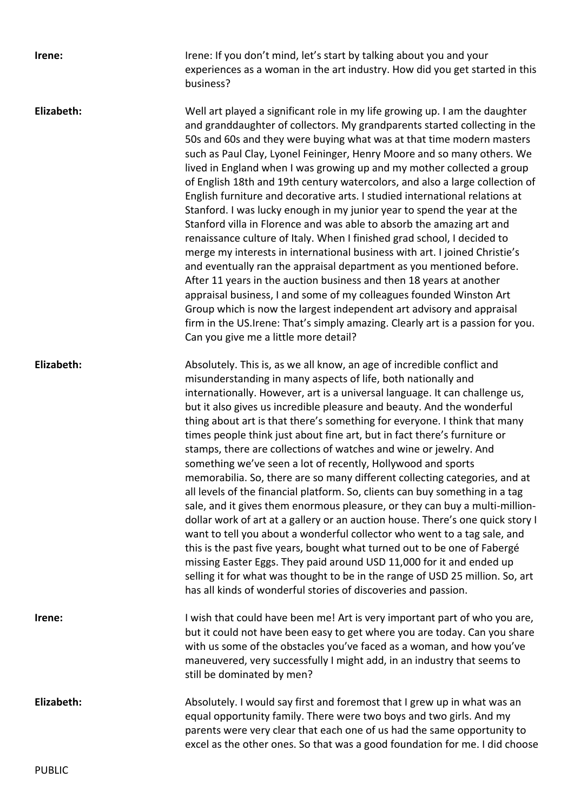| Irene:     | Irene: If you don't mind, let's start by talking about you and your<br>experiences as a woman in the art industry. How did you get started in this<br>business?                                                                                                                                                                                                                                                                                                                                                                                                                                                                                                                                                                                                                                                                                                                                                                                                                                                                                                                                                                                                                                                                                                                                                  |
|------------|------------------------------------------------------------------------------------------------------------------------------------------------------------------------------------------------------------------------------------------------------------------------------------------------------------------------------------------------------------------------------------------------------------------------------------------------------------------------------------------------------------------------------------------------------------------------------------------------------------------------------------------------------------------------------------------------------------------------------------------------------------------------------------------------------------------------------------------------------------------------------------------------------------------------------------------------------------------------------------------------------------------------------------------------------------------------------------------------------------------------------------------------------------------------------------------------------------------------------------------------------------------------------------------------------------------|
| Elizabeth: | Well art played a significant role in my life growing up. I am the daughter<br>and granddaughter of collectors. My grandparents started collecting in the<br>50s and 60s and they were buying what was at that time modern masters<br>such as Paul Clay, Lyonel Feininger, Henry Moore and so many others. We<br>lived in England when I was growing up and my mother collected a group<br>of English 18th and 19th century watercolors, and also a large collection of<br>English furniture and decorative arts. I studied international relations at<br>Stanford. I was lucky enough in my junior year to spend the year at the<br>Stanford villa in Florence and was able to absorb the amazing art and<br>renaissance culture of Italy. When I finished grad school, I decided to<br>merge my interests in international business with art. I joined Christie's<br>and eventually ran the appraisal department as you mentioned before.<br>After 11 years in the auction business and then 18 years at another<br>appraisal business, I and some of my colleagues founded Winston Art<br>Group which is now the largest independent art advisory and appraisal<br>firm in the US. Irene: That's simply amazing. Clearly art is a passion for you.<br>Can you give me a little more detail?                   |
| Elizabeth: | Absolutely. This is, as we all know, an age of incredible conflict and<br>misunderstanding in many aspects of life, both nationally and<br>internationally. However, art is a universal language. It can challenge us,<br>but it also gives us incredible pleasure and beauty. And the wonderful<br>thing about art is that there's something for everyone. I think that many<br>times people think just about fine art, but in fact there's furniture or<br>stamps, there are collections of watches and wine or jewelry. And<br>something we've seen a lot of recently, Hollywood and sports<br>memorabilia. So, there are so many different collecting categories, and at<br>all levels of the financial platform. So, clients can buy something in a tag<br>sale, and it gives them enormous pleasure, or they can buy a multi-million-<br>dollar work of art at a gallery or an auction house. There's one quick story I<br>want to tell you about a wonderful collector who went to a tag sale, and<br>this is the past five years, bought what turned out to be one of Fabergé<br>missing Easter Eggs. They paid around USD 11,000 for it and ended up<br>selling it for what was thought to be in the range of USD 25 million. So, art<br>has all kinds of wonderful stories of discoveries and passion. |
| Irene:     | I wish that could have been me! Art is very important part of who you are,<br>but it could not have been easy to get where you are today. Can you share<br>with us some of the obstacles you've faced as a woman, and how you've<br>maneuvered, very successfully I might add, in an industry that seems to<br>still be dominated by men?                                                                                                                                                                                                                                                                                                                                                                                                                                                                                                                                                                                                                                                                                                                                                                                                                                                                                                                                                                        |
| Elizabeth: | Absolutely. I would say first and foremost that I grew up in what was an<br>equal opportunity family. There were two boys and two girls. And my<br>parents were very clear that each one of us had the same opportunity to<br>excel as the other ones. So that was a good foundation for me. I did choose                                                                                                                                                                                                                                                                                                                                                                                                                                                                                                                                                                                                                                                                                                                                                                                                                                                                                                                                                                                                        |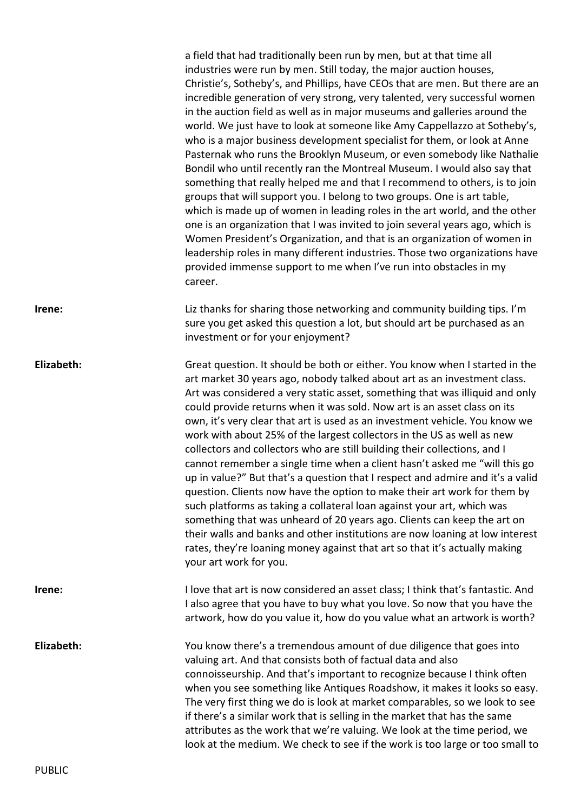|            | a field that had traditionally been run by men, but at that time all<br>industries were run by men. Still today, the major auction houses,<br>Christie's, Sotheby's, and Phillips, have CEOs that are men. But there are an<br>incredible generation of very strong, very talented, very successful women<br>in the auction field as well as in major museums and galleries around the<br>world. We just have to look at someone like Amy Cappellazzo at Sotheby's,<br>who is a major business development specialist for them, or look at Anne<br>Pasternak who runs the Brooklyn Museum, or even somebody like Nathalie<br>Bondil who until recently ran the Montreal Museum. I would also say that<br>something that really helped me and that I recommend to others, is to join<br>groups that will support you. I belong to two groups. One is art table,<br>which is made up of women in leading roles in the art world, and the other<br>one is an organization that I was invited to join several years ago, which is<br>Women President's Organization, and that is an organization of women in<br>leadership roles in many different industries. Those two organizations have<br>provided immense support to me when I've run into obstacles in my<br>career. |
|------------|-------------------------------------------------------------------------------------------------------------------------------------------------------------------------------------------------------------------------------------------------------------------------------------------------------------------------------------------------------------------------------------------------------------------------------------------------------------------------------------------------------------------------------------------------------------------------------------------------------------------------------------------------------------------------------------------------------------------------------------------------------------------------------------------------------------------------------------------------------------------------------------------------------------------------------------------------------------------------------------------------------------------------------------------------------------------------------------------------------------------------------------------------------------------------------------------------------------------------------------------------------------------------|
| Irene:     | Liz thanks for sharing those networking and community building tips. I'm<br>sure you get asked this question a lot, but should art be purchased as an<br>investment or for your enjoyment?                                                                                                                                                                                                                                                                                                                                                                                                                                                                                                                                                                                                                                                                                                                                                                                                                                                                                                                                                                                                                                                                              |
| Elizabeth: | Great question. It should be both or either. You know when I started in the<br>art market 30 years ago, nobody talked about art as an investment class.<br>Art was considered a very static asset, something that was illiquid and only<br>could provide returns when it was sold. Now art is an asset class on its<br>own, it's very clear that art is used as an investment vehicle. You know we<br>work with about 25% of the largest collectors in the US as well as new<br>collectors and collectors who are still building their collections, and I<br>cannot remember a single time when a client hasn't asked me "will this go<br>up in value?" But that's a question that I respect and admire and it's a valid<br>question. Clients now have the option to make their art work for them by<br>such platforms as taking a collateral loan against your art, which was<br>something that was unheard of 20 years ago. Clients can keep the art on<br>their walls and banks and other institutions are now loaning at low interest<br>rates, they're loaning money against that art so that it's actually making<br>your art work for you.                                                                                                                       |
| Irene:     | I love that art is now considered an asset class; I think that's fantastic. And<br>I also agree that you have to buy what you love. So now that you have the<br>artwork, how do you value it, how do you value what an artwork is worth?                                                                                                                                                                                                                                                                                                                                                                                                                                                                                                                                                                                                                                                                                                                                                                                                                                                                                                                                                                                                                                |
| Elizabeth: | You know there's a tremendous amount of due diligence that goes into<br>valuing art. And that consists both of factual data and also<br>connoisseurship. And that's important to recognize because I think often<br>when you see something like Antiques Roadshow, it makes it looks so easy.<br>The very first thing we do is look at market comparables, so we look to see<br>if there's a similar work that is selling in the market that has the same<br>attributes as the work that we're valuing. We look at the time period, we<br>look at the medium. We check to see if the work is too large or too small to                                                                                                                                                                                                                                                                                                                                                                                                                                                                                                                                                                                                                                                  |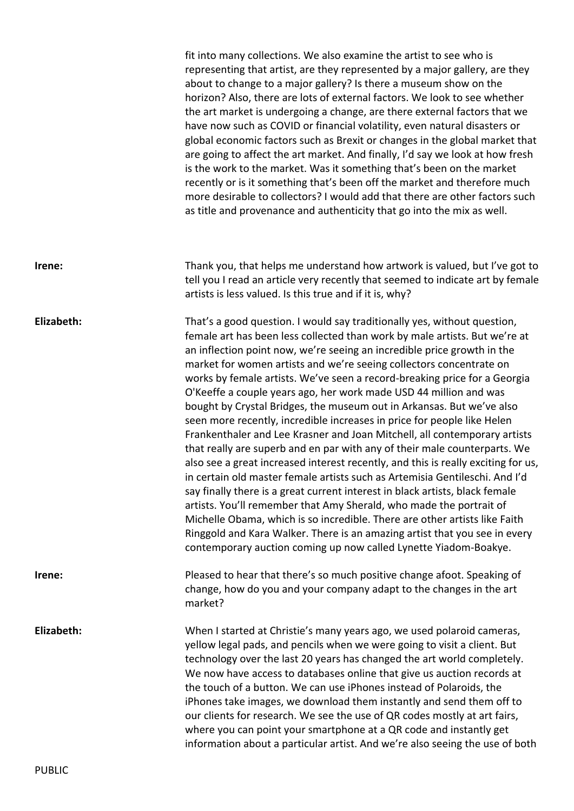fit into many collections. We also examine the artist to see who is representing that artist, are they represented by a major gallery, are they about to change to a major gallery? Is there a museum show on the horizon? Also, there are lots of external factors. We look to see whether the art market is undergoing a change, are there external factors that we have now such as COVID or financial volatility, even natural disasters or global economic factors such as Brexit or changes in the global market that are going to affect the art market. And finally, I'd say we look at how fresh is the work to the market. Was it something that's been on the market recently or is it something that's been off the market and therefore much more desirable to collectors? I would add that there are other factors such as title and provenance and authenticity that go into the mix as well. **Irene:** Thank you, that helps me understand how artwork is valued, but I've got to tell you I read an article very recently that seemed to indicate art by female artists is less valued. Is this true and if it is, why? **Elizabeth:** That's a good question. I would say traditionally yes, without question, female art has been less collected than work by male artists. But we're at an inflection point now, we're seeing an incredible price growth in the market for women artists and we're seeing collectors concentrate on works by female artists. We've seen a record-breaking price for a Georgia O'Keeffe a couple years ago, her work made USD 44 million and was bought by Crystal Bridges, the museum out in Arkansas. But we've also seen more recently, incredible increases in price for people like Helen Frankenthaler and Lee Krasner and Joan Mitchell, all contemporary artists that really are superb and en par with any of their male counterparts. We also see a great increased interest recently, and this is really exciting for us, in certain old master female artists such as Artemisia Gentileschi. And I'd say finally there is a great current interest in black artists, black female artists. You'll remember that Amy Sherald, who made the portrait of Michelle Obama, which is so incredible. There are other artists like Faith Ringgold and Kara Walker. There is an amazing artist that you see in every contemporary auction coming up now called Lynette Yiadom-Boakye. **Irene:** Pleased to hear that there's so much positive change afoot. Speaking of change, how do you and your company adapt to the changes in the art market? **Elizabeth:** When I started at Christie's many years ago, we used polaroid cameras, yellow legal pads, and pencils when we were going to visit a client. But technology over the last 20 years has changed the art world completely. We now have access to databases online that give us auction records at the touch of a button. We can use iPhones instead of Polaroids, the iPhones take images, we download them instantly and send them off to our clients for research. We see the use of QR codes mostly at art fairs, where you can point your smartphone at a QR code and instantly get information about a particular artist. And we're also seeing the use of both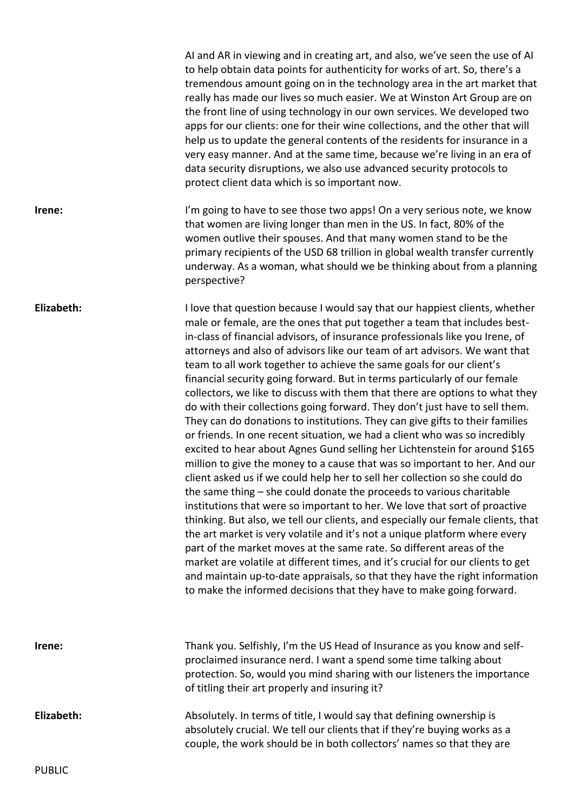|            | AI and AR in viewing and in creating art, and also, we've seen the use of AI<br>to help obtain data points for authenticity for works of art. So, there's a<br>tremendous amount going on in the technology area in the art market that<br>really has made our lives so much easier. We at Winston Art Group are on<br>the front line of using technology in our own services. We developed two<br>apps for our clients: one for their wine collections, and the other that will<br>help us to update the general contents of the residents for insurance in a<br>very easy manner. And at the same time, because we're living in an era of<br>data security disruptions, we also use advanced security protocols to<br>protect client data which is so important now.                                                                                                                                                                                                                                                                                                                                                                                                                                                                                                                                                                                                                                                                                                                                                                                                                                                                                                                         |
|------------|------------------------------------------------------------------------------------------------------------------------------------------------------------------------------------------------------------------------------------------------------------------------------------------------------------------------------------------------------------------------------------------------------------------------------------------------------------------------------------------------------------------------------------------------------------------------------------------------------------------------------------------------------------------------------------------------------------------------------------------------------------------------------------------------------------------------------------------------------------------------------------------------------------------------------------------------------------------------------------------------------------------------------------------------------------------------------------------------------------------------------------------------------------------------------------------------------------------------------------------------------------------------------------------------------------------------------------------------------------------------------------------------------------------------------------------------------------------------------------------------------------------------------------------------------------------------------------------------------------------------------------------------------------------------------------------------|
| Irene:     | I'm going to have to see those two apps! On a very serious note, we know<br>that women are living longer than men in the US. In fact, 80% of the<br>women outlive their spouses. And that many women stand to be the<br>primary recipients of the USD 68 trillion in global wealth transfer currently<br>underway. As a woman, what should we be thinking about from a planning<br>perspective?                                                                                                                                                                                                                                                                                                                                                                                                                                                                                                                                                                                                                                                                                                                                                                                                                                                                                                                                                                                                                                                                                                                                                                                                                                                                                                |
| Elizabeth: | I love that question because I would say that our happiest clients, whether<br>male or female, are the ones that put together a team that includes best-<br>in-class of financial advisors, of insurance professionals like you Irene, of<br>attorneys and also of advisors like our team of art advisors. We want that<br>team to all work together to achieve the same goals for our client's<br>financial security going forward. But in terms particularly of our female<br>collectors, we like to discuss with them that there are options to what they<br>do with their collections going forward. They don't just have to sell them.<br>They can do donations to institutions. They can give gifts to their families<br>or friends. In one recent situation, we had a client who was so incredibly<br>excited to hear about Agnes Gund selling her Lichtenstein for around \$165<br>million to give the money to a cause that was so important to her. And our<br>client asked us if we could help her to sell her collection so she could do<br>the same thing – she could donate the proceeds to various charitable<br>institutions that were so important to her. We love that sort of proactive<br>thinking. But also, we tell our clients, and especially our female clients, that<br>the art market is very volatile and it's not a unique platform where every<br>part of the market moves at the same rate. So different areas of the<br>market are volatile at different times, and it's crucial for our clients to get<br>and maintain up-to-date appraisals, so that they have the right information<br>to make the informed decisions that they have to make going forward. |
| Irene:     | Thank you. Selfishly, I'm the US Head of Insurance as you know and self-<br>proclaimed insurance nerd. I want a spend some time talking about<br>protection. So, would you mind sharing with our listeners the importance<br>of titling their art properly and insuring it?                                                                                                                                                                                                                                                                                                                                                                                                                                                                                                                                                                                                                                                                                                                                                                                                                                                                                                                                                                                                                                                                                                                                                                                                                                                                                                                                                                                                                    |
| Elizabeth: | Absolutely. In terms of title, I would say that defining ownership is<br>absolutely crucial. We tell our clients that if they're buying works as a<br>couple, the work should be in both collectors' names so that they are                                                                                                                                                                                                                                                                                                                                                                                                                                                                                                                                                                                                                                                                                                                                                                                                                                                                                                                                                                                                                                                                                                                                                                                                                                                                                                                                                                                                                                                                    |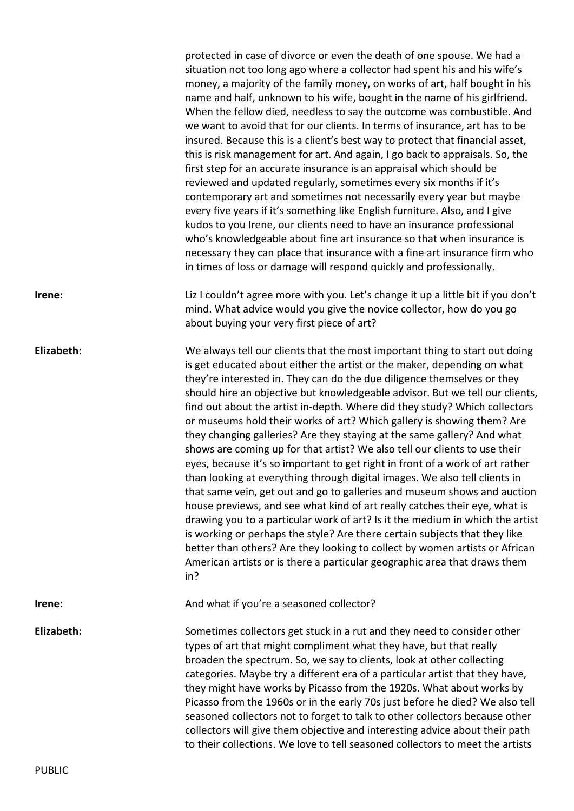|            | protected in case of divorce or even the death of one spouse. We had a<br>situation not too long ago where a collector had spent his and his wife's<br>money, a majority of the family money, on works of art, half bought in his<br>name and half, unknown to his wife, bought in the name of his girlfriend.<br>When the fellow died, needless to say the outcome was combustible. And<br>we want to avoid that for our clients. In terms of insurance, art has to be<br>insured. Because this is a client's best way to protect that financial asset,<br>this is risk management for art. And again, I go back to appraisals. So, the<br>first step for an accurate insurance is an appraisal which should be<br>reviewed and updated regularly, sometimes every six months if it's<br>contemporary art and sometimes not necessarily every year but maybe<br>every five years if it's something like English furniture. Also, and I give<br>kudos to you Irene, our clients need to have an insurance professional<br>who's knowledgeable about fine art insurance so that when insurance is<br>necessary they can place that insurance with a fine art insurance firm who<br>in times of loss or damage will respond quickly and professionally.                                         |
|------------|-----------------------------------------------------------------------------------------------------------------------------------------------------------------------------------------------------------------------------------------------------------------------------------------------------------------------------------------------------------------------------------------------------------------------------------------------------------------------------------------------------------------------------------------------------------------------------------------------------------------------------------------------------------------------------------------------------------------------------------------------------------------------------------------------------------------------------------------------------------------------------------------------------------------------------------------------------------------------------------------------------------------------------------------------------------------------------------------------------------------------------------------------------------------------------------------------------------------------------------------------------------------------------------------------|
| Irene:     | Liz I couldn't agree more with you. Let's change it up a little bit if you don't<br>mind. What advice would you give the novice collector, how do you go<br>about buying your very first piece of art?                                                                                                                                                                                                                                                                                                                                                                                                                                                                                                                                                                                                                                                                                                                                                                                                                                                                                                                                                                                                                                                                                        |
| Elizabeth: | We always tell our clients that the most important thing to start out doing<br>is get educated about either the artist or the maker, depending on what<br>they're interested in. They can do the due diligence themselves or they<br>should hire an objective but knowledgeable advisor. But we tell our clients,<br>find out about the artist in-depth. Where did they study? Which collectors<br>or museums hold their works of art? Which gallery is showing them? Are<br>they changing galleries? Are they staying at the same gallery? And what<br>shows are coming up for that artist? We also tell our clients to use their<br>eyes, because it's so important to get right in front of a work of art rather<br>than looking at everything through digital images. We also tell clients in<br>that same vein, get out and go to galleries and museum shows and auction<br>house previews, and see what kind of art really catches their eye, what is<br>drawing you to a particular work of art? Is it the medium in which the artist<br>is working or perhaps the style? Are there certain subjects that they like<br>better than others? Are they looking to collect by women artists or African<br>American artists or is there a particular geographic area that draws them<br>in? |
| Irene:     | And what if you're a seasoned collector?                                                                                                                                                                                                                                                                                                                                                                                                                                                                                                                                                                                                                                                                                                                                                                                                                                                                                                                                                                                                                                                                                                                                                                                                                                                      |
| Elizabeth: | Sometimes collectors get stuck in a rut and they need to consider other<br>types of art that might compliment what they have, but that really<br>broaden the spectrum. So, we say to clients, look at other collecting<br>categories. Maybe try a different era of a particular artist that they have,<br>they might have works by Picasso from the 1920s. What about works by<br>Picasso from the 1960s or in the early 70s just before he died? We also tell<br>seasoned collectors not to forget to talk to other collectors because other<br>collectors will give them objective and interesting advice about their path<br>to their collections. We love to tell seasoned collectors to meet the artists                                                                                                                                                                                                                                                                                                                                                                                                                                                                                                                                                                                 |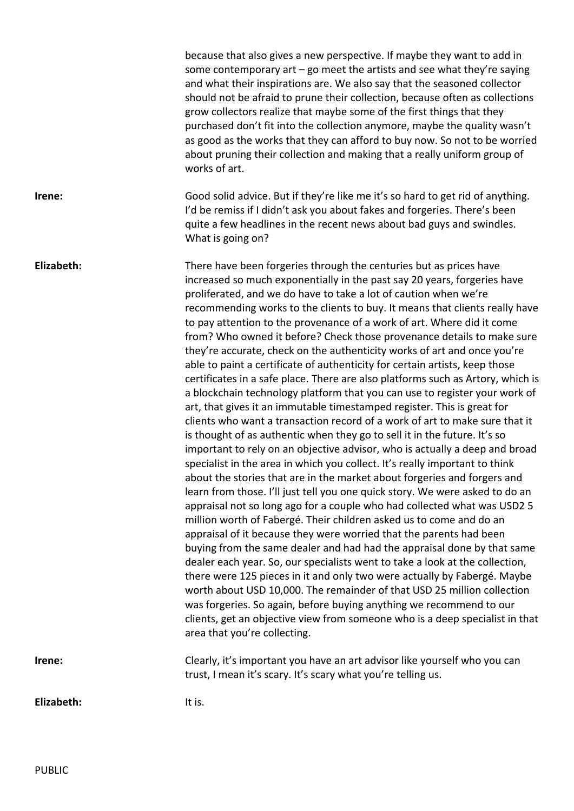|            | because that also gives a new perspective. If maybe they want to add in<br>some contemporary $art-go$ meet the artists and see what they're saying<br>and what their inspirations are. We also say that the seasoned collector<br>should not be afraid to prune their collection, because often as collections<br>grow collectors realize that maybe some of the first things that they<br>purchased don't fit into the collection anymore, maybe the quality wasn't<br>as good as the works that they can afford to buy now. So not to be worried<br>about pruning their collection and making that a really uniform group of<br>works of art.                                                                                                                                                                                                                                                                                                                                                                                                                                                                                                                                                                                                                                                                                                                                                                                                                                                                                                                                                                                                                                                                                                                                                                                                                                                                                                                                                                                                                                       |
|------------|---------------------------------------------------------------------------------------------------------------------------------------------------------------------------------------------------------------------------------------------------------------------------------------------------------------------------------------------------------------------------------------------------------------------------------------------------------------------------------------------------------------------------------------------------------------------------------------------------------------------------------------------------------------------------------------------------------------------------------------------------------------------------------------------------------------------------------------------------------------------------------------------------------------------------------------------------------------------------------------------------------------------------------------------------------------------------------------------------------------------------------------------------------------------------------------------------------------------------------------------------------------------------------------------------------------------------------------------------------------------------------------------------------------------------------------------------------------------------------------------------------------------------------------------------------------------------------------------------------------------------------------------------------------------------------------------------------------------------------------------------------------------------------------------------------------------------------------------------------------------------------------------------------------------------------------------------------------------------------------------------------------------------------------------------------------------------------------|
| Irene:     | Good solid advice. But if they're like me it's so hard to get rid of anything.<br>I'd be remiss if I didn't ask you about fakes and forgeries. There's been<br>quite a few headlines in the recent news about bad guys and swindles.<br>What is going on?                                                                                                                                                                                                                                                                                                                                                                                                                                                                                                                                                                                                                                                                                                                                                                                                                                                                                                                                                                                                                                                                                                                                                                                                                                                                                                                                                                                                                                                                                                                                                                                                                                                                                                                                                                                                                             |
| Elizabeth: | There have been forgeries through the centuries but as prices have<br>increased so much exponentially in the past say 20 years, forgeries have<br>proliferated, and we do have to take a lot of caution when we're<br>recommending works to the clients to buy. It means that clients really have<br>to pay attention to the provenance of a work of art. Where did it come<br>from? Who owned it before? Check those provenance details to make sure<br>they're accurate, check on the authenticity works of art and once you're<br>able to paint a certificate of authenticity for certain artists, keep those<br>certificates in a safe place. There are also platforms such as Artory, which is<br>a blockchain technology platform that you can use to register your work of<br>art, that gives it an immutable timestamped register. This is great for<br>clients who want a transaction record of a work of art to make sure that it<br>is thought of as authentic when they go to sell it in the future. It's so<br>important to rely on an objective advisor, who is actually a deep and broad<br>specialist in the area in which you collect. It's really important to think<br>about the stories that are in the market about forgeries and forgers and<br>learn from those. I'll just tell you one quick story. We were asked to do an<br>appraisal not so long ago for a couple who had collected what was USD2 5<br>million worth of Fabergé. Their children asked us to come and do an<br>appraisal of it because they were worried that the parents had been<br>buying from the same dealer and had had the appraisal done by that same<br>dealer each year. So, our specialists went to take a look at the collection,<br>there were 125 pieces in it and only two were actually by Fabergé. Maybe<br>worth about USD 10,000. The remainder of that USD 25 million collection<br>was forgeries. So again, before buying anything we recommend to our<br>clients, get an objective view from someone who is a deep specialist in that<br>area that you're collecting. |
| Irene:     | Clearly, it's important you have an art advisor like yourself who you can<br>trust, I mean it's scary. It's scary what you're telling us.                                                                                                                                                                                                                                                                                                                                                                                                                                                                                                                                                                                                                                                                                                                                                                                                                                                                                                                                                                                                                                                                                                                                                                                                                                                                                                                                                                                                                                                                                                                                                                                                                                                                                                                                                                                                                                                                                                                                             |
| Elizabeth: | It is.                                                                                                                                                                                                                                                                                                                                                                                                                                                                                                                                                                                                                                                                                                                                                                                                                                                                                                                                                                                                                                                                                                                                                                                                                                                                                                                                                                                                                                                                                                                                                                                                                                                                                                                                                                                                                                                                                                                                                                                                                                                                                |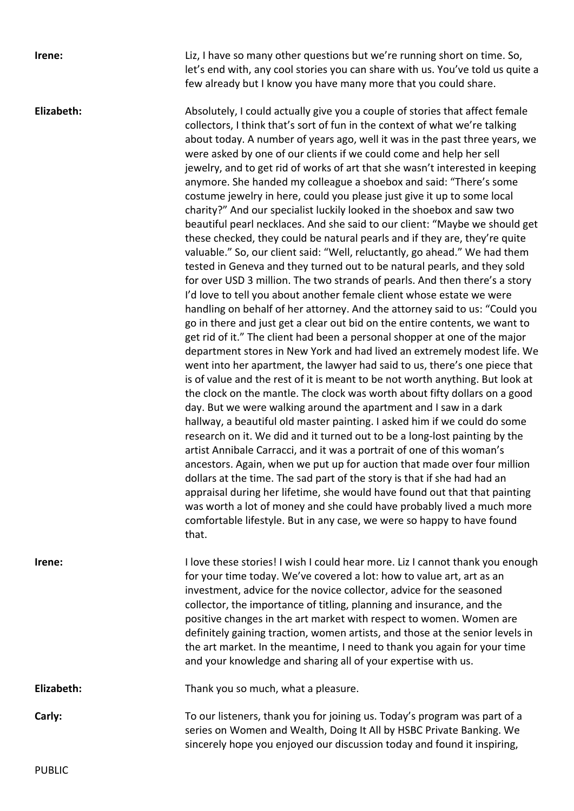**Irene:** Liz, I have so many other questions but we're running short on time. So, let's end with, any cool stories you can share with us. You've told us quite a few already but I know you have many more that you could share.

**Elizabeth:** Absolutely, I could actually give you a couple of stories that affect female collectors, I think that's sort of fun in the context of what we're talking about today. A number of years ago, well it was in the past three years, we were asked by one of our clients if we could come and help her sell jewelry, and to get rid of works of art that she wasn't interested in keeping anymore. She handed my colleague a shoebox and said: "There's some costume jewelry in here, could you please just give it up to some local charity?" And our specialist luckily looked in the shoebox and saw two beautiful pearl necklaces. And she said to our client: "Maybe we should get these checked, they could be natural pearls and if they are, they're quite valuable." So, our client said: "Well, reluctantly, go ahead." We had them tested in Geneva and they turned out to be natural pearls, and they sold for over USD 3 million. The two strands of pearls. And then there's a story I'd love to tell you about another female client whose estate we were handling on behalf of her attorney. And the attorney said to us: "Could you go in there and just get a clear out bid on the entire contents, we want to get rid of it." The client had been a personal shopper at one of the major department stores in New York and had lived an extremely modest life. We went into her apartment, the lawyer had said to us, there's one piece that is of value and the rest of it is meant to be not worth anything. But look at the clock on the mantle. The clock was worth about fifty dollars on a good day. But we were walking around the apartment and I saw in a dark hallway, a beautiful old master painting. I asked him if we could do some research on it. We did and it turned out to be a long-lost painting by the artist Annibale Carracci, and it was a portrait of one of this woman's ancestors. Again, when we put up for auction that made over four million dollars at the time. The sad part of the story is that if she had had an appraisal during her lifetime, she would have found out that that painting was worth a lot of money and she could have probably lived a much more comfortable lifestyle. But in any case, we were so happy to have found that.

**Irene:** I love these stories! I wish I could hear more. Liz I cannot thank you enough for your time today. We've covered a lot: how to value art, art as an investment, advice for the novice collector, advice for the seasoned collector, the importance of titling, planning and insurance, and the positive changes in the art market with respect to women. Women are definitely gaining traction, women artists, and those at the senior levels in the art market. In the meantime, I need to thank you again for your time and your knowledge and sharing all of your expertise with us.

**Elizabeth:** Thank you so much, what a pleasure.

**Carly:** Carly: To our listeners, thank you for joining us. Today's program was part of a series on Women and Wealth, Doing It All by HSBC Private Banking. We sincerely hope you enjoyed our discussion today and found it inspiring,